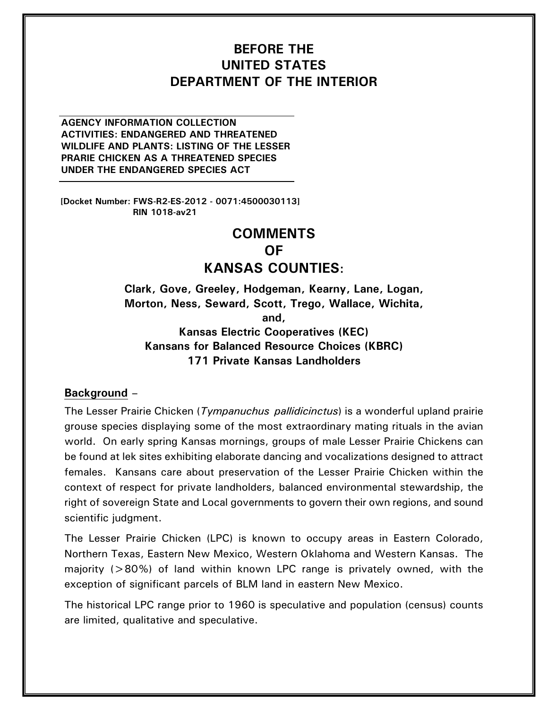# **BEFORE THE UNITED STATES DEPARTMENT OF THE INTERIOR**

**AGENCY INFORMATION COLLECTION ACTIVITIES: ENDANGERED AND THREATENED WILDLIFE AND PLANTS: LISTING OF THE LESSER PRARIE CHICKEN AS A THREATENED SPECIES UNDER THE ENDANGERED SPECIES ACT**

**[Docket Number: FWS-R2-ES-2012 - 0071:4500030113] RIN 1018-av21**

# **COMMENTS OF KANSAS COUNTIES:**

**Clark, Gove, Greeley, Hodgeman, Kearny, Lane, Logan, Morton, Ness, Seward, Scott, Trego, Wallace, Wichita, and, Kansas Electric Cooperatives (KEC) Kansans for Balanced Resource Choices (KBRC)**

**171 Private Kansas Landholders**

#### **Background –**

The Lesser Prairie Chicken (*Tympanuchus pallidicinctus*) is a wonderful upland prairie grouse species displaying some of the most extraordinary mating rituals in the avian world. On early spring Kansas mornings, groups of male Lesser Prairie Chickens can be found at lek sites exhibiting elaborate dancing and vocalizations designed to attract females. Kansans care about preservation of the Lesser Prairie Chicken within the context of respect for private landholders, balanced environmental stewardship, the right of sovereign State and Local governments to govern their own regions, and sound scientific judgment.

The Lesser Prairie Chicken (LPC) is known to occupy areas in Eastern Colorado, Northern Texas, Eastern New Mexico, Western Oklahoma and Western Kansas. The majority ( $>80\%$ ) of land within known LPC range is privately owned, with the exception of significant parcels of BLM land in eastern New Mexico.

The historical LPC range prior to 1960 is speculative and population (census) counts are limited, qualitative and speculative.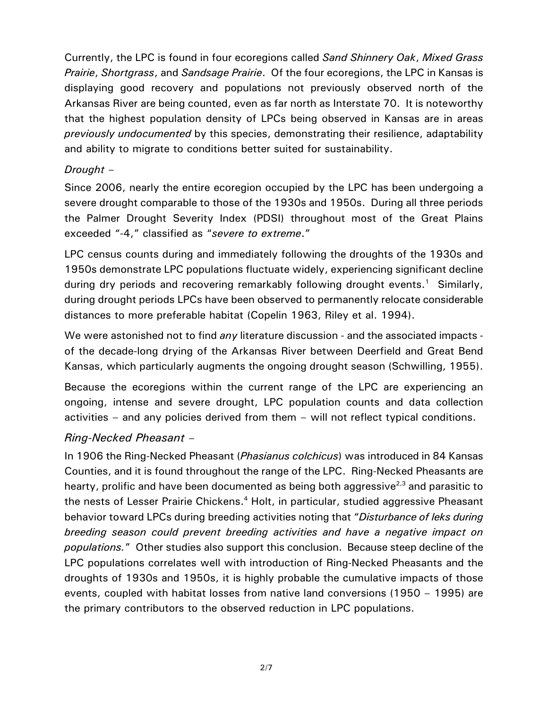Currently, the LPC is found in four ecoregions called *Sand Shinnery Oak*, *Mixed Grass Prairie*, *Shortgrass*, and *Sandsage Prairie*. Of the four ecoregions, the LPC in Kansas is displaying good recovery and populations not previously observed north of the Arkansas River are being counted, even as far north as Interstate 70. It is noteworthy that the highest population density of LPCs being observed in Kansas are in areas *previously undocumented* by this species, demonstrating their resilience, adaptability and ability to migrate to conditions better suited for sustainability.

### *Drought* –

Since 2006, nearly the entire ecoregion occupied by the LPC has been undergoing a severe drought comparable to those of the 1930s and 1950s. During all three periods the Palmer Drought Severity Index (PDSI) throughout most of the Great Plains exceeded "-4," classified as "*severe to extreme*."

LPC census counts during and immediately following the droughts of the 1930s and 1950s demonstrate LPC populations fluctuate widely, experiencing significant decline during dry periods and recovering remarkably following drought events.<sup>1</sup> Similarly, during drought periods LPCs have been observed to permanently relocate considerable distances to more preferable habitat (Copelin 1963, Riley et al. 1994).

We were astonished not to find *any* literature discussion - and the associated impacts of the decade-long drying of the Arkansas River between Deerfield and Great Bend Kansas, which particularly augments the ongoing drought season (Schwilling, 1955).

Because the ecoregions within the current range of the LPC are experiencing an ongoing, intense and severe drought, LPC population counts and data collection activities – and any policies derived from them – will not reflect typical conditions.

# *Ring-Necked Pheasant* –

In 1906 the Ring-Necked Pheasant (*Phasianus colchicus*) was introduced in 84 Kansas Counties, and it is found throughout the range of the LPC. Ring-Necked Pheasants are hearty, prolific and have been documented as being both aggressive $^{2,3}$  and parasitic to the nests of Lesser Prairie Chickens.<sup>4</sup> Holt, in particular, studied aggressive Pheasant behavior toward LPCs during breeding activities noting that "*Disturbance of leks during breeding season could prevent breeding activities and have a negative impact on populations.*" Other studies also support this conclusion. Because steep decline of the LPC populations correlates well with introduction of Ring-Necked Pheasants and the droughts of 1930s and 1950s, it is highly probable the cumulative impacts of those events, coupled with habitat losses from native land conversions (1950 – 1995) are the primary contributors to the observed reduction in LPC populations.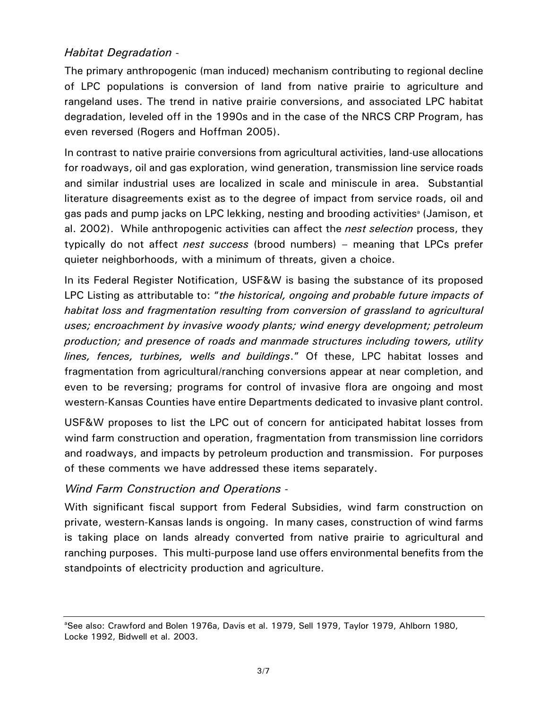### *Habitat Degradation* -

The primary anthropogenic (man induced) mechanism contributing to regional decline of LPC populations is conversion of land from native prairie to agriculture and rangeland uses. The trend in native prairie conversions, and associated LPC habitat degradation, leveled off in the 1990s and in the case of the NRCS CRP Program, has even reversed (Rogers and Hoffman 2005).

In contrast to native prairie conversions from agricultural activities, land-use allocations for roadways, oil and gas exploration, wind generation, transmission line service roads and similar industrial uses are localized in scale and miniscule in area. Substantial literature disagreements exist as to the degree of impact from service roads, oil and gas pads and pump jacks on LPC lekking, nesting and brooding activities<sup>®</sup> (Jamison, et al. 2002). While anthropogenic activities can affect the *nest selection* process, they typically do not affect *nest success* (brood numbers) – meaning that LPCs prefer quieter neighborhoods, with a minimum of threats, given a choice.

In its Federal Register Notification, USF&W is basing the substance of its proposed LPC Listing as attributable to: "*the historical, ongoing and probable future impacts of habitat loss and fragmentation resulting from conversion of grassland to agricultural uses; encroachment by invasive woody plants; wind energy development; petroleum production; and presence of roads and manmade structures including towers, utility lines, fences, turbines, wells and buildings*." Of these, LPC habitat losses and fragmentation from agricultural/ranching conversions appear at near completion, and even to be reversing; programs for control of invasive flora are ongoing and most western-Kansas Counties have entire Departments dedicated to invasive plant control.

USF&W proposes to list the LPC out of concern for anticipated habitat losses from wind farm construction and operation, fragmentation from transmission line corridors and roadways, and impacts by petroleum production and transmission. For purposes of these comments we have addressed these items separately.

### *Wind Farm Construction and Operations* -

With significant fiscal support from Federal Subsidies, wind farm construction on private, western-Kansas lands is ongoing. In many cases, construction of wind farms is taking place on lands already converted from native prairie to agricultural and ranching purposes. This multi-purpose land use offers environmental benefits from the standpoints of electricity production and agriculture.

<sup>&</sup>lt;sup>a</sup>See also: Crawford and Bolen 1976a, Davis et al. 1979, Sell 1979, Taylor 1979, Ahlborn 1980, Locke 1992, Bidwell et al. 2003.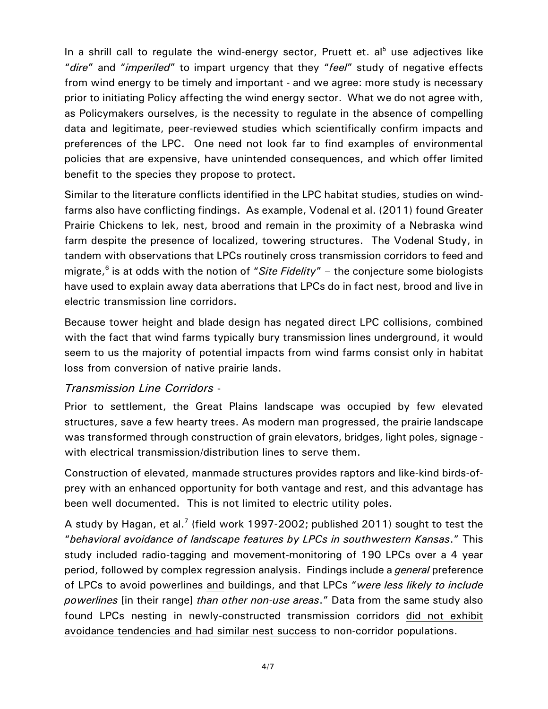In a shrill call to regulate the wind-energy sector, Pruett et. al<sup>5</sup> use adjectives like "*dire*" and "*imperiled*" to impart urgency that they "*feel*" study of negative effects from wind energy to be timely and important - and we agree: more study is necessary prior to initiating Policy affecting the wind energy sector. What we do not agree with, as Policymakers ourselves, is the necessity to regulate in the absence of compelling data and legitimate, peer-reviewed studies which scientifically confirm impacts and preferences of the LPC. One need not look far to find examples of environmental policies that are expensive, have unintended consequences, and which offer limited benefit to the species they propose to protect.

Similar to the literature conflicts identified in the LPC habitat studies, studies on windfarms also have conflicting findings. As example, Vodenal et al. (2011) found Greater Prairie Chickens to lek, nest, brood and remain in the proximity of a Nebraska wind farm despite the presence of localized, towering structures. The Vodenal Study, in tandem with observations that LPCs routinely cross transmission corridors to feed and migrate, 6 is at odds with the notion of "*Site Fidelity*" – the conjecture some biologists have used to explain away data aberrations that LPCs do in fact nest, brood and live in electric transmission line corridors.

Because tower height and blade design has negated direct LPC collisions, combined with the fact that wind farms typically bury transmission lines underground, it would seem to us the majority of potential impacts from wind farms consist only in habitat loss from conversion of native prairie lands.

### *Transmission Line Corridors* -

Prior to settlement, the Great Plains landscape was occupied by few elevated structures, save a few hearty trees. As modern man progressed, the prairie landscape was transformed through construction of grain elevators, bridges, light poles, signage with electrical transmission/distribution lines to serve them.

Construction of elevated, manmade structures provides raptors and like-kind birds-ofprey with an enhanced opportunity for both vantage and rest, and this advantage has been well documented. This is not limited to electric utility poles.

A study by Hagan, et al.<sup>7</sup> (field work 1997-2002; published 2011) sought to test the "*behavioral avoidance of landscape features by LPCs in southwestern Kansas*." This study included radio-tagging and movement-monitoring of 190 LPCs over a 4 year period, followed by complex regression analysis. Findings include a *general* preference of LPCs to avoid powerlines and buildings, and that LPCs "*were less likely to include powerlines* [in their range] *than other non-use areas*." Data from the same study also found LPCs nesting in newly-constructed transmission corridors did not exhibit avoidance tendencies and had similar nest success to non-corridor populations.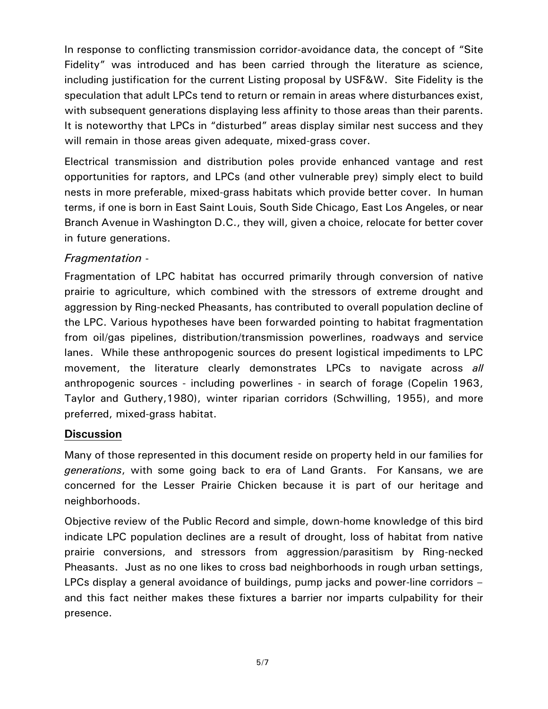In response to conflicting transmission corridor-avoidance data, the concept of "Site Fidelity" was introduced and has been carried through the literature as science, including justification for the current Listing proposal by USF&W. Site Fidelity is the speculation that adult LPCs tend to return or remain in areas where disturbances exist, with subsequent generations displaying less affinity to those areas than their parents. It is noteworthy that LPCs in "disturbed" areas display similar nest success and they will remain in those areas given adequate, mixed-grass cover.

Electrical transmission and distribution poles provide enhanced vantage and rest opportunities for raptors, and LPCs (and other vulnerable prey) simply elect to build nests in more preferable, mixed-grass habitats which provide better cover. In human terms, if one is born in East Saint Louis, South Side Chicago, East Los Angeles, or near Branch Avenue in Washington D.C., they will, given a choice, relocate for better cover in future generations.

# *Fragmentation* -

Fragmentation of LPC habitat has occurred primarily through conversion of native prairie to agriculture, which combined with the stressors of extreme drought and aggression by Ring-necked Pheasants, has contributed to overall population decline of the LPC. Various hypotheses have been forwarded pointing to habitat fragmentation from oil/gas pipelines, distribution/transmission powerlines, roadways and service lanes. While these anthropogenic sources do present logistical impediments to LPC movement, the literature clearly demonstrates LPCs to navigate across *all* anthropogenic sources - including powerlines - in search of forage (Copelin 1963, Taylor and Guthery,1980), winter riparian corridors (Schwilling, 1955), and more preferred, mixed-grass habitat.

### **Discussion**

Many of those represented in this document reside on property held in our families for *generations*, with some going back to era of Land Grants. For Kansans, we are concerned for the Lesser Prairie Chicken because it is part of our heritage and neighborhoods.

Objective review of the Public Record and simple, down-home knowledge of this bird indicate LPC population declines are a result of drought, loss of habitat from native prairie conversions, and stressors from aggression/parasitism by Ring-necked Pheasants. Just as no one likes to cross bad neighborhoods in rough urban settings, LPCs display a general avoidance of buildings, pump jacks and power-line corridors – and this fact neither makes these fixtures a barrier nor imparts culpability for their presence.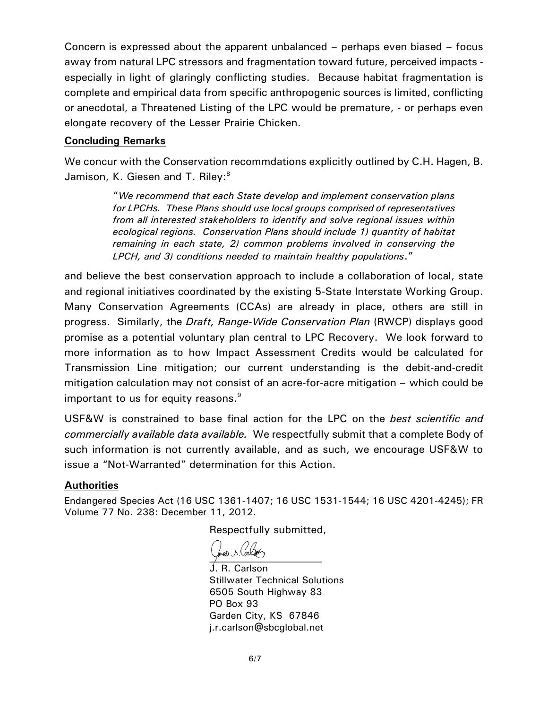Concern is expressed about the apparent unbalanced – perhaps even biased – focus away from natural LPC stressors and fragmentation toward future, perceived impacts especially in light of glaringly conflicting studies. Because habitat fragmentation is complete and empirical data from specific anthropogenic sources is limited, conflicting or anecdotal, a Threatened Listing of the LPC would be premature, - or perhaps even elongate recovery of the Lesser Prairie Chicken.

#### **Concluding Remarks**

We concur with the Conservation recommdations explicitly outlined by C.H. Hagen, B. Jamison, K. Giesen and T. Riley:<sup>8</sup>

> "*We recommend that each State develop and implement conservation plans for LPCHs. These Plans should use local groups comprised of representatives from all interested stakeholders to identify and solve regional issues within ecological regions. Conservation Plans should include 1) quantity of habitat remaining in each state, 2) common problems involved in conserving the LPCH, and 3) conditions needed to maintain healthy populations*."

and believe the best conservation approach to include a collaboration of local, state and regional initiatives coordinated by the existing 5-State Interstate Working Group. Many Conservation Agreements (CCAs) are already in place, others are still in progress. Similarly, the *Draft, Range-Wide Conservation Plan* (RWCP) displays good promise as a potential voluntary plan central to LPC Recovery. We look forward to more information as to how Impact Assessment Credits would be calculated for Transmission Line mitigation; our current understanding is the debit-and-credit mitigation calculation may not consist of an acre-for-acre mitigation – which could be important to us for equity reasons. $^9$ 

USF&W is constrained to base final action for the LPC on the *best scientific and commercially available data available.* We respectfully submit that a complete Body of such information is not currently available, and as such, we encourage USF&W to issue a "Not-Warranted" determination for this Action.

#### **Authorities**

Endangered Species Act (16 USC 1361-1407; 16 USC 1531-1544; 16 USC 4201-4245); FR Volume 77 No. 238: December 11, 2012.

Respectfully submitted,

\_\_\_\_\_\_\_\_\_\_\_\_\_\_\_\_\_\_\_\_\_

J. R. Carlson Stillwater Technical Solutions 6505 South Highway 83 PO Box 93 Garden City, KS 67846 j.r.carlson@sbcglobal.net